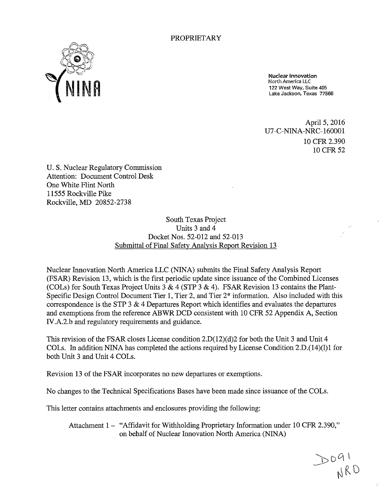

Nuclear Innovation North America LLC 122 West Way, Suite 405 Lake Jackson, Texas 77566

April 5, 2016 U7-C-NINA-NRC-160001 10 CFR 2.390 10 CFR 52

U.S. Nuclear Regulatory Commission Attention: Document Control Desk One White Flint North 11555 Rockville Pike Rockville, MD 20852-2738

> South Texas Project Units 3 and 4 Docket Nos. 52-012 and 52-013 Submittal of Final Safety Analysis Report Revision 13

Nuclear Innovation North America LLC (NINA) submits the Final Safety Analysis Report (FSAR) Revision 13, which is the first periodic update since issuance of the Combined Licenses (COLs) for South Texas Project Units 3 & 4 (STP 3 & 4). FSAR Revision 13 contains the Plant-Specific Design Control Document Tier 1, Tier 2, and Tier 2\* information. Also included with this correspondence is the STP  $3 \& 4$  Departures Report which identifies and evaluates the departures and exemptions from the reference ABWR DCD consistent with 10 CFR 52 Appendix A, Section IV.A.2.b and regulatory requirements and guidance.

This revision of the FSAR closes License condition 2.D(12)(d)2 for both the Unit 3 and Unit 4 COLs. In addition NINA has completed the actions required by License Condition 2.D.(14)(1)1 for both Unit 3 and Unit 4 COLs.

Revision 13 of the FSAR incorporates no new departures or exemptions.

No changes to the Technical Specifications Bases have been made since issuance of the COLs.

This letter contains attachments and enclosures providing the following:

Attachment 1 - "Affidavit for Withholding Proprietary Information under 10 CFR 2.390," on behalf of Nuclear Innovation North America (NINA)

 $DO41$ <br> $NRO$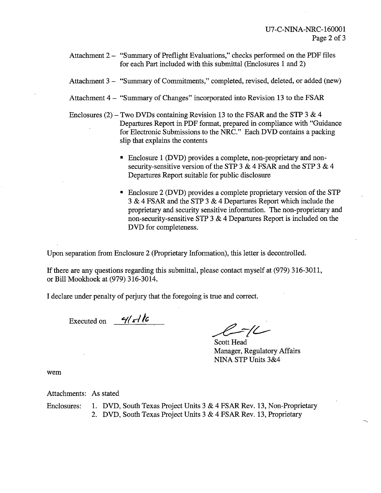- Attachment 2 "Summary of Preflight Evaluations," checks performed on the PDF files for each Part included with this submittal (Enclosures 1 and 2)
- Attachment 3 "Summary of Commitments," completed, revised, deleted, or added (new)
- Attachment 4 "Summary of Changes" incorporated into Revision 13 to the FSAR
- Enclosures (2) Two DVDs containing Revision 13 to the FSAR and the STP 3 & 4 Departures Report in PDF format, prepared in compliance with "Guidance for Electronic Submissions to the NRC." Each DVD contains a packing slip that explains the contents
	- Enclosure 1 (DVD) provides a complete, non-proprietary and non.: security-sensitive version of the STP 3  $\&$  4 FSAR and the STP 3  $\&$  4 Departures Report suitable for public disclosure
	- Enclosure 2 (DVD) provides a complete proprietary version of the STP 3 & 4 FSAR and the STP 3 & 4 Departures Report which include the proprietary and security sensitive information. The non-proprietary and non-security-sensitive STP 3 & 4 Departures Report is included on the DVD for completeness.

Upon separation from Enclosure 2 (Proprietary Information), this letter is decontrolled.

If there are any questions regarding this submittal, please contact myself at (979) 316-3011, or Bill Mookhoek at (979) 316-3014.

I declare under penalty of perjury that the foregoing is true and correct.

Executed on  $-41$   $-16$ 

 $-/-$ 

Scott Head Manager, Regulatory Affairs NINA STP Units 3&4

wem

Attachments: As stated

Enclosures: 1. DVD, South Texas Project Units 3 & 4 FSAR Rev. 13, Non-Proprietary 2. DVD, South Texas Project Units 3 & 4 FSAR Rev. 13, Proprietary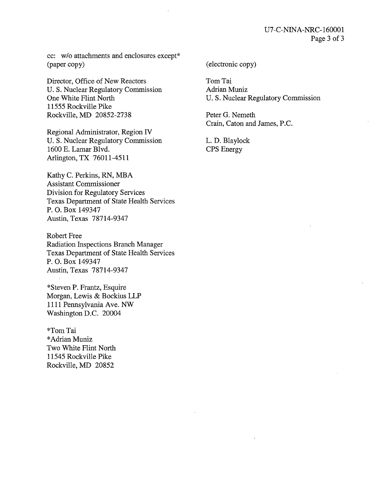cc: w/o attachments and enclosures except\* (paper copy)

Director, Office of New Reactors U.S. Nuclear Regulatory Commission One White Flint North 11555 Rockville Pike Rockville, MD 20852-2738

Regional Administrator, Region IV U.S. Nuclear Regulatory Commission 1600 E. Lamar Blvd. Arlington, TX 76011-4511

Kathy C. Perkins, RN, MBA Assistant Commissioner Division for Regulatory Services Texas Department of State Health Services P. 0. Box 149347 Austin, Texas 78714-9347

Robert Free Radiation Inspections Branch Manager Texas Department of State Health Services P. 0. Box 149347 Austin, Texas 78714-9347

\*Steven P. Frantz, Esquire Morgan, Lewis & Bockius LLP 1111 Pennsylvania Ave. NW Washington D.C. 20004

\*Tom Tai \*Adrian Muniz Two White Flint North 11545 Rockville Pike Rockville, MD 20852

#### (electronic copy)

Tom Tai Adrian Muniz U.S. Nuclear Regulatory Commission

Peter G. Nemeth Crain, Caton and James, P.C.

L. D. Blaylock CPS Energy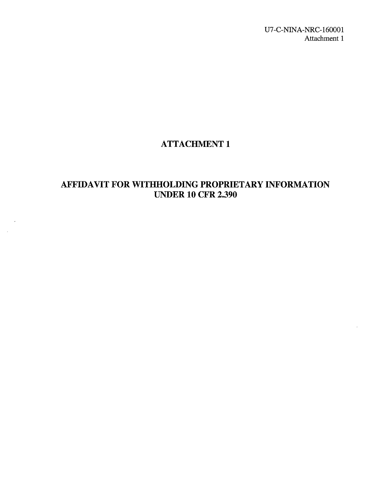U7-C-NINA-NRC-160001 Attachment 1

## ATTACHMENT 1

## AFFIDAVIT FOR WITHHOLDING PROPRIETARY INFORMATION **UNDER 10 CFR 2.390**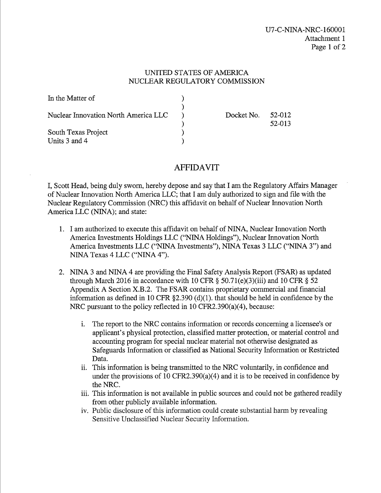#### UNITED STATES OF AMERICA NUCLEAR REGULATORY COMMISSION

| In the Matter of                     |            |                  |
|--------------------------------------|------------|------------------|
| Nuclear Innovation North America LLC | Docket No. | 52-012<br>52-013 |
| South Texas Project<br>Units 3 and 4 |            |                  |

### AFFIDAVIT

I, Scott Head, being duly sworn, hereby depose and say that I am the Regulatory Affairs Manager of Nuclear Innovation North America LLC; that I am duly authorized to sign and file with the Nuclear Regulatory Commission (NRC) this affidavit on behalf of Nuclear Innovation North America LLC (NINA); and state:

- 1. I am authorized to execute this affidavit on behalf of NINA, Nuclear Innovation North America Investments Holdings LLC ("NINA Holdings"), Nuclear Innovation North America Investments LLC ("NINA Investments"), NINA Texas 3 LLC ("NINA 3") and NINA Texas 4 LLC ("NINA 4").
- 2. NINA 3 and NINA 4 are providing the Final Safety Analysis Report (FSAR) as updated through March 2016 in accordance with 10 CFR  $\S$  50.71(e)(3)(iii) and 10 CFR  $\S$  52 Appendix A Section X.B.2. The FSAR contains proprietary commercial and financial information as defined in 10 CFR  $\S 2.390$  (d)(1). that should be held in confidence by the NRC pursuant to the policy reflected in 10 CFR2.390(a)(4), because:
	- 1. The report to the NRC contains information or records concerning a licensee's or applicant's physical protection, classified matter protection, or material control and accounting program for special nuclear material not otherwise designated as Safeguards Information or classified as National Security Information or Restricted Data.
	- ii. This information is being transmitted to the NRC voluntarily, in confidence and under the provisions of 10 CFR2.390(a)(4) and it is to be received in confidence by the NRC.
	- iii. This information is not available in public sources and could not be gathered readily from other publicly available information.
	- iv. Public disclosure of this information could create substantial harm by revealing Sensitive Unclassified Nuclear Security Information.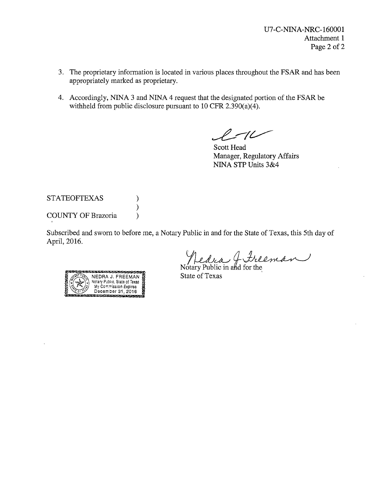- 3. The proprietary information is located in various places throughout the FSAR and has been appropriately marked as proprietary.
- 4. Accordingly, NINA 3 and NINA 4 request that the designated portion of the FSAR be withheld from public disclosure pursuant to 10 CFR 2.390(a)(4).

 $\ell$  -10

Scott Head Manager, Regulatory Affairs NINA STP Units 3&4

#### STATEOFTEXAS ) ) COUNTY OF Brazoria (1)

Subscribed and sworn to before me, a Notary Public in and for the State of Texas, this 5th day of April, 2016.

Medra & Frieman



State of Texas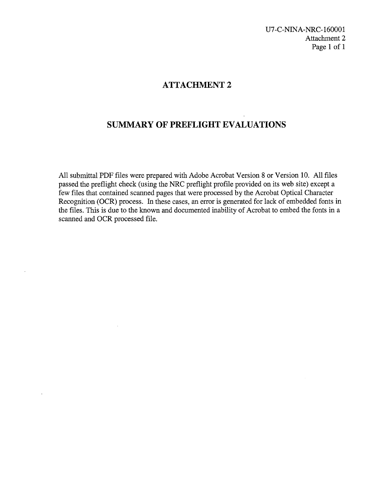U?-C-NINA-NRC-160001 Attachment 2 Page 1 of 1

### **ATTACHMENT 2**

### **SUMMARY OF PREFLIGHT EVALUATIONS**

All submittal PDF files were prepared with Adobe Acrobat Version 8 or Version 10. All files passed the preflight check (using the NRC preflight profile provided on its web site) except a few files that contained scanned pages that were processed by the Acrobat Optical Character Recognition (OCR) process. In these cases, an error is generated for lack of embedded fonts in the files. This is due to the known and documented inability of Acrobat to embed the fonts in a scanned and OCR processed file.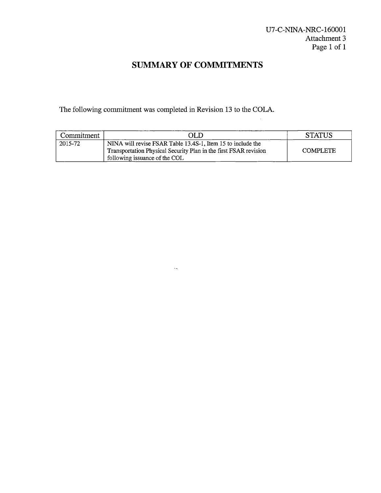# **SUMMARY OF COMMITMENTS**

The following commitment was completed in Revision 13 to the COLA.

 $\ddot{\phi}$ 

| Commitment | OL IO                                                                                                                                                            | <b>STATUS</b>   |
|------------|------------------------------------------------------------------------------------------------------------------------------------------------------------------|-----------------|
| 2015-72    | NINA will revise FSAR Table 13.4S-1, Item 15 to include the<br>Transportation Physical Security Plan in the first FSAR revision<br>following issuance of the COL | <b>COMPLETE</b> |